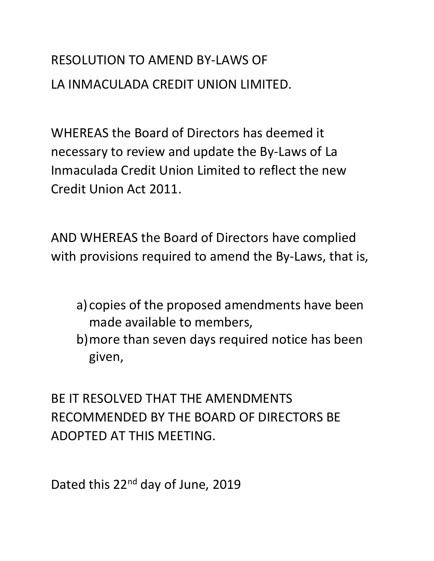# RESOLUTION TO AMEND BY-LAWS OF LA INMACULADA CREDIT UNION LIMITED.

WHEREAS the Board of Directors has deemed it necessary to review and update the By-Laws of La Inmaculada Credit Union Limited to reflect the new Credit Union Act 2011.

AND WHEREAS the Board of Directors have complied with provisions required to amend the By-Laws, that is,

- a) copies of the proposed amendments have been made available to members,
- b)more than seven days required notice has been given,

BE IT RESOLVED THAT THE AMENDMENTS RECOMMENDED BY THE BOARD OF DIRECTORS BE ADOPTED AT THIS MEETING.

Dated this 22<sup>nd</sup> day of June, 2019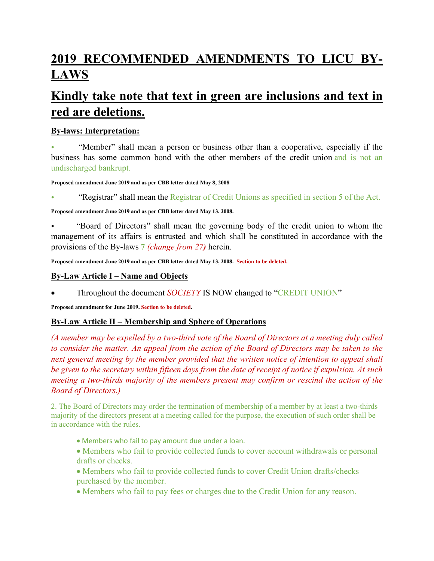## **2019 RECOMMENDED AMENDMENTS TO LICU BY-LAWS**

## **Kindly take note that text in green are inclusions and text in red are deletions.**

## **By-laws: Interpretation:**

• "Member" shall mean a person or business other than a cooperative, especially if the business has some common bond with the other members of the credit union and is not an undischarged bankrupt.

#### **Proposed amendment June 2019 and as per CBB letter dated May 8, 2008**

• "Registrar" shall mean the Registrar of Credit Unions as specified in section 5 of the Act.

**Proposed amendment June 2019 and as per CBB letter dated May 13, 2008.**

• "Board of Directors" shall mean the governing body of the credit union to whom the management of its affairs is entrusted and which shall be constituted in accordance with the provisions of the By-laws **7** *(change from 27)* herein.

**Proposed amendment June 2019 and as per CBB letter dated May 13, 2008. Section to be deleted.**

#### **By-Law Article I – Name and Objects**

Throughout the document *SOCIETY* IS NOW changed to "CREDIT UNION"

**Proposed amendment for June 2019. Section to be deleted.**

## **By-Law Article II – Membership and Sphere of Operations**

*(A member may be expelled by a two-third vote of the Board of Directors at a meeting duly called to consider the matter. An appeal from the action of the Board of Directors may be taken to the next general meeting by the member provided that the written notice of intention to appeal shall be given to the secretary within fifteen days from the date of receipt of notice if expulsion. At such meeting a two-thirds majority of the members present may confirm or rescind the action of the Board of Directors.)*

2. The Board of Directors may order the termination of membership of a member by at least a two-thirds majority of the directors present at a meeting called for the purpose, the execution of such order shall be in accordance with the rules.

- Members who fail to pay amount due under a loan.
- Members who fail to provide collected funds to cover account withdrawals or personal drafts or checks.
- Members who fail to provide collected funds to cover Credit Union drafts/checks purchased by the member.
- Members who fail to pay fees or charges due to the Credit Union for any reason.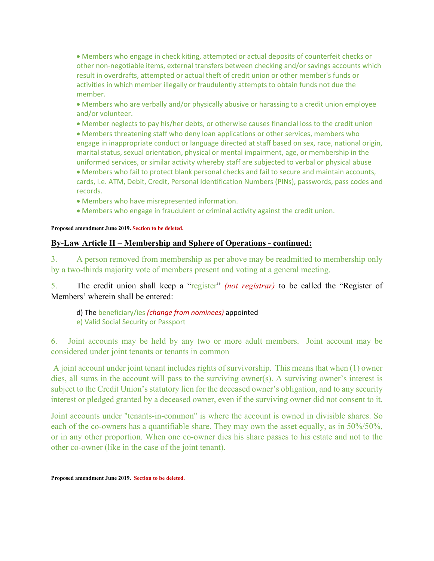Members who engage in check kiting, attempted or actual deposits of counterfeit checks or other non-negotiable items, external transfers between checking and/or savings accounts which result in overdrafts, attempted or actual theft of credit union or other member's funds or activities in which member illegally or fraudulently attempts to obtain funds not due the member.

 Members who are verbally and/or physically abusive or harassing to a credit union employee and/or volunteer.

• Member neglects to pay his/her debts, or otherwise causes financial loss to the credit union

 Members threatening staff who deny loan applications or other services, members who engage in inappropriate conduct or language directed at staff based on sex, race, national origin, marital status, sexual orientation, physical or mental impairment, age, or membership in the uniformed services, or similar activity whereby staff are subjected to verbal or physical abuse Members who fail to protect blank personal checks and fail to secure and maintain accounts, cards, i.e. ATM, Debit, Credit, Personal Identification Numbers (PINs), passwords, pass codes and

Members who have misrepresented information.

Members who engage in fraudulent or criminal activity against the credit union.

#### **Proposed amendment June 2019. Section to be deleted.**

records.

#### **By-Law Article II – Membership and Sphere of Operations - continued:**

3. A person removed from membership as per above may be readmitted to membership only by a two-thirds majority vote of members present and voting at a general meeting.

5. The credit union shall keep a "register" *(not registrar)* to be called the "Register of Members' wherein shall be entered:

 d) The beneficiary/ies *(change from nominees)* appointed e) Valid Social Security or Passport

6. Joint accounts may be held by any two or more adult members. Joint account may be considered under joint tenants or tenants in common

 A joint account under joint tenant includes rights of survivorship. This means that when (1) owner dies, all sums in the account will pass to the surviving owner(s). A surviving owner's interest is subject to the Credit Union's statutory lien for the deceased owner's obligation, and to any security interest or pledged granted by a deceased owner, even if the surviving owner did not consent to it.

Joint accounts under "tenants-in-common" is where the account is owned in divisible shares. So each of the co-owners has a quantifiable share. They may own the asset equally, as in 50%/50%, or in any other proportion. When one co-owner dies his share passes to his estate and not to the other co-owner (like in the case of the joint tenant).

**Proposed amendment June 2019. Section to be deleted.**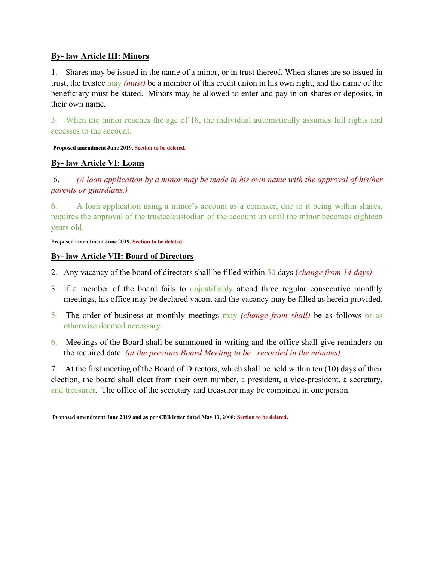#### **By- law Article III: Minors**

1. Shares may be issued in the name of a minor, or in trust thereof. When shares are so issued in trust, the trustee may *(must)* be a member of this credit union in his own right, and the name of the beneficiary must be stated. Minors may be allowed to enter and pay in on shares or deposits, in their own name.

3. When the minor reaches the age of 18, the individual automatically assumes full rights and accesses to the account.

**Proposed amendment June 2019. Section to be deleted.**

## **By- law Article VI: Loans**

 6. *(A loan application by a minor may be made in his own name with the approval of his/her parents or guardians.)*

6. A loan application using a minor's account as a comaker, due to it being within shares, requires the approval of the trustee/custodian of the account up until the minor becomes eighteen years old.

#### **Proposed amendment June 2019. Section to be deleted.**

#### **By- law Article VII: Board of Directors**

- 2. Any vacancy of the board of directors shall be filled within 30 days (*change from 14 days)*
- 3. If a member of the board fails to unjustifiably attend three regular consecutive monthly meetings, his office may be declared vacant and the vacancy may be filled as herein provided.
- 5. The order of business at monthly meetings may *(change from shall)* be as follows or as otherwise deemed necessary:
- 6. Meetings of the Board shall be summoned in writing and the office shall give reminders on the required date. *(at the previous Board Meeting to be recorded in the minutes)*

7. At the first meeting of the Board of Directors, which shall be held within ten (10) days of their election, the board shall elect from their own number, a president, a vice-president, a secretary, and treasurer. The office of the secretary and treasurer may be combined in one person.

 **Proposed amendment June 2019 and as per CBB letter dated May 13, 2008; Section to be deleted.**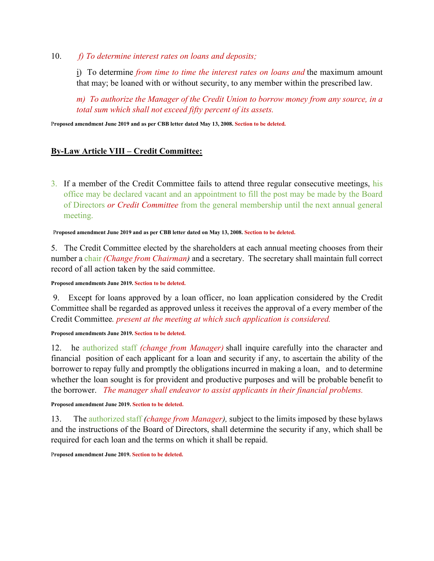10. *f) To determine interest rates on loans and deposits;*

i) To determine *from time to time the interest rates on loans and* the maximum amount that may; be loaned with or without security, to any member within the prescribed law.

*m) To authorize the Manager of the Credit Union to borrow money from any source, in a total sum which shall not exceed fifty percent of its assets.*

P**roposed amendment June 2019 and as per CBB letter dated May 13, 2008. Section to be deleted.** 

## **By-Law Article VIII – Credit Committee:**

3. If a member of the Credit Committee fails to attend three regular consecutive meetings, his office may be declared vacant and an appointment to fill the post may be made by the Board of Directors *or Credit Committee* from the general membership until the next annual general meeting.

#### P**roposed amendment June 2019 and as per CBB letter dated on May 13, 2008. Section to be deleted.**

5. The Credit Committee elected by the shareholders at each annual meeting chooses from their number a chair *(Change from Chairman)* and a secretary. The secretary shall maintain full correct record of all action taken by the said committee.

**Proposed amendments June 2019. Section to be deleted.**

 9. Except for loans approved by a loan officer, no loan application considered by the Credit Committee shall be regarded as approved unless it receives the approval of a every member of the Credit Committee*. present at the meeting at which such application is considered.*

#### **Proposed amendments June 2019. Section to be deleted.**

12. he authorized staff *(change from Manager)* shall inquire carefully into the character and financial position of each applicant for a loan and security if any, to ascertain the ability of the borrower to repay fully and promptly the obligations incurred in making a loan, and to determine whether the loan sought is for provident and productive purposes and will be probable benefit to the borrower. *The manager shall endeavor to assist applicants in their financial problems.*

#### **Proposed amendment June 2019. Section to be deleted.**

13. The authorized staff *(change from Manager),* subject to the limits imposed by these bylaws and the instructions of the Board of Directors, shall determine the security if any, which shall be required for each loan and the terms on which it shall be repaid.

P**roposed amendment June 2019. Section to be deleted.**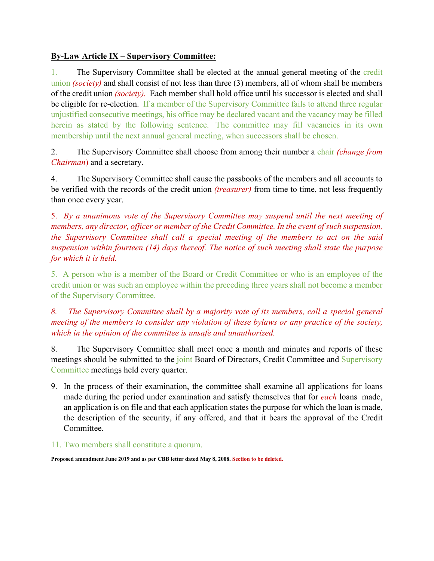## **By-Law Article IX – Supervisory Committee:**

1. The Supervisory Committee shall be elected at the annual general meeting of the credit union *(society)* and shall consist of not less than three (3) members, all of whom shall be members of the credit union *(society).* Each member shall hold office until his successor is elected and shall be eligible for re-election. If a member of the Supervisory Committee fails to attend three regular unjustified consecutive meetings, his office may be declared vacant and the vacancy may be filled herein as stated by the following sentence. The committee may fill vacancies in its own membership until the next annual general meeting, when successors shall be chosen.

2. The Supervisory Committee shall choose from among their number a chair *(change from Chairman*) and a secretary.

4. The Supervisory Committee shall cause the passbooks of the members and all accounts to be verified with the records of the credit union *(treasurer)* from time to time, not less frequently than once every year.

5. *By a unanimous vote of the Supervisory Committee may suspend until the next meeting of members, any director, officer or member of the Credit Committee. In the event of such suspension, the Supervisory Committee shall call a special meeting of the members to act on the said suspension within fourteen (14) days thereof. The notice of such meeting shall state the purpose for which it is held.* 

5. A person who is a member of the Board or Credit Committee or who is an employee of the credit union or was such an employee within the preceding three years shall not become a member of the Supervisory Committee.

*8. The Supervisory Committee shall by a majority vote of its members, call a special general meeting of the members to consider any violation of these bylaws or any practice of the society, which in the opinion of the committee is unsafe and unauthorized.* 

8. The Supervisory Committee shall meet once a month and minutes and reports of these meetings should be submitted to the joint Board of Directors, Credit Committee and Supervisory Committee meetings held every quarter.

- 9. In the process of their examination, the committee shall examine all applications for loans made during the period under examination and satisfy themselves that for *each* loans made, an application is on file and that each application states the purpose for which the loan is made, the description of the security, if any offered, and that it bears the approval of the Credit Committee.
- 11. Two members shall constitute a quorum.

**Proposed amendment June 2019 and as per CBB letter dated May 8, 2008. Section to be deleted.**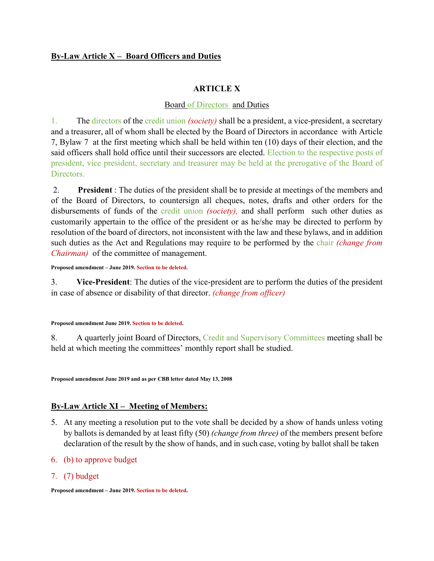## **By-Law Article X – Board Officers and Duties**

#### **ARTICLE X**

#### Board of Directors and Duties

1. The directors of the credit union *(society)* shall be a president, a vice-president, a secretary and a treasurer, all of whom shall be elected by the Board of Directors in accordance with Article 7, Bylaw 7 at the first meeting which shall be held within ten (10) days of their election, and the said officers shall hold office until their successors are elected. Election to the respective posts of president, vice president, secretary and treasurer may be held at the prerogative of the Board of Directors.

 2. **President** : The duties of the president shall be to preside at meetings of the members and of the Board of Directors, to countersign all cheques, notes, drafts and other orders for the disbursements of funds of the credit union *(society),* and shall perform such other duties as customarily appertain to the office of the president or as he/she may be directed to perform by resolution of the board of directors, not inconsistent with the law and these bylaws, and in addition such duties as the Act and Regulations may require to be performed by the chair *(change from Chairman)* of the committee of management.

**Proposed amendment – June 2019. Section to be deleted.**

3. **Vice-President**: The duties of the vice-president are to perform the duties of the president in case of absence or disability of that director. *(change from officer)* 

#### **Proposed amendment June 2019. Section to be deleted.**

8. A quarterly joint Board of Directors, Credit and Supervisory Committees meeting shall be held at which meeting the committees' monthly report shall be studied.

**Proposed amendment June 2019 and as per CBB letter dated May 13, 2008** 

## **By-Law Article XI – Meeting of Members:**

- 5. At any meeting a resolution put to the vote shall be decided by a show of hands unless voting by ballots is demanded by at least fifty (50) *(change from three)* of the members present before declaration of the result by the show of hands, and in such case, voting by ballot shall be taken
- 6. (b) to approve budget
- 7. (7) budget

**Proposed amendment – June 2019. Section to be deleted.**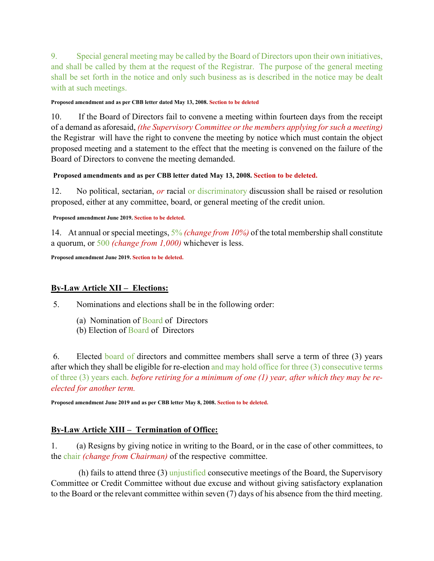9. Special general meeting may be called by the Board of Directors upon their own initiatives, and shall be called by them at the request of the Registrar. The purpose of the general meeting shall be set forth in the notice and only such business as is described in the notice may be dealt with at such meetings.

#### **Proposed amendment and as per CBB letter dated May 13, 2008. Section to be deleted**

10. If the Board of Directors fail to convene a meeting within fourteen days from the receipt of a demand as aforesaid, *(the Supervisory Committee or the members applying for such a meeting)*  the Registrar will have the right to convene the meeting by notice which must contain the object proposed meeting and a statement to the effect that the meeting is convened on the failure of the Board of Directors to convene the meeting demanded.

#### **Proposed amendments and as per CBB letter dated May 13, 2008. Section to be deleted.**

12. No political, sectarian, *or* racial or discriminatory discussion shall be raised or resolution proposed, either at any committee, board, or general meeting of the credit union.

#### **Proposed amendment June 2019. Section to be deleted.**

14. At annual or special meetings, 5% *(change from 10%)* of the total membership shall constitute a quorum, or 500 *(change from 1,000)* whichever is less.

**Proposed amendment June 2019. Section to be deleted.**

## **By-Law Article XII – Elections:**

5. Nominations and elections shall be in the following order:

- (a) Nomination of Board of Directors
- (b) Election of Board of Directors

 6. Elected board of directors and committee members shall serve a term of three (3) years after which they shall be eligible for re-election and may hold office for three (3) consecutive terms of three (3) years each. *before retiring for a minimum of one (1) year, after which they may be reelected for another term.*

**Proposed amendment June 2019 and as per CBB letter May 8, 2008. Section to be deleted.** 

## **By-Law Article XIII – Termination of Office:**

1. (a) Resigns by giving notice in writing to the Board, or in the case of other committees, to the chair *(change from Chairman)* of the respective committee.

(h) fails to attend three  $(3)$  unjustified consecutive meetings of the Board, the Supervisory Committee or Credit Committee without due excuse and without giving satisfactory explanation to the Board or the relevant committee within seven (7) days of his absence from the third meeting.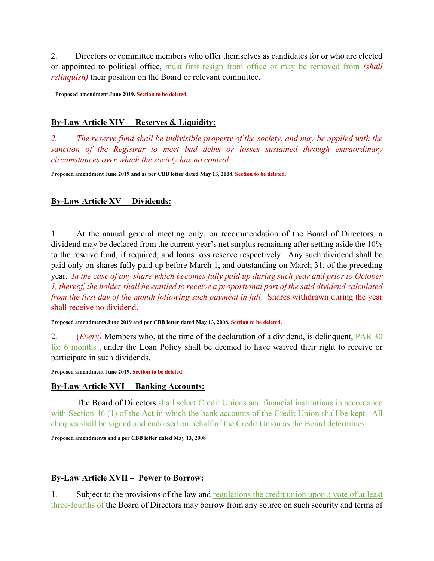2. Directors or committee members who offer themselves as candidates for or who are elected or appointed to political office, must first resign from office or may be removed from *(shall relinquish)* their position on the Board or relevant committee.

**Proposed amendment June 2019. Section to be deleted.** 

## **By-Law Article XIV – Reserves & Liquidity:**

*2. The reserve fund shall be indivisible property of the society, and may be applied with the sanction of the Registrar to meet bad debts or losses sustained through extraordinary circumstances over which the society has no control.* 

**Proposed amendment June 2019 and as per CBB letter dated May 13, 2008. Section to be deleted.** 

## **By-Law Article XV – Dividends:**

1. At the annual general meeting only, on recommendation of the Board of Directors, a dividend may be declared from the current year's net surplus remaining after setting aside the 10% to the reserve fund, if required, and loans loss reserve respectively. Any such dividend shall be paid only on shares fully paid up before March 1, and outstanding on March 31, of the preceding year. *In the case of any share which becomes fully paid up during such year and prior to October 1, thereof, the holder shall be entitled to receive a proportional part of the said dividend calculated from the first day of the month following such payment in full.* Shares withdrawn during the year shall receive no dividend.

**Proposed amendments June 2019 and per CBB letter dated May 13, 2008. Section to be deleted.**

2. (*Every)* Members who, at the time of the declaration of a dividend, is delinquent, PAR 30 for 6 months , under the Loan Policy shall be deemed to have waived their right to receive or participate in such dividends.

**Proposed amendment June 2019. Section to be deleted.**

#### **By-Law Article XVI – Banking Accounts:**

 The Board of Directors shall select Credit Unions and financial institutions in accordance with Section 46 (1) of the Act in which the bank accounts of the Credit Union shall be kept. All cheques shall be signed and endorsed on behalf of the Credit Union as the Board determines.

**Proposed amendments and s per CBB letter dated May 13, 2008** 

## **By-Law Article XVII – Power to Borrow:**

1. Subject to the provisions of the law and regulations the credit union upon a vote of at least three-fourths of the Board of Directors may borrow from any source on such security and terms of